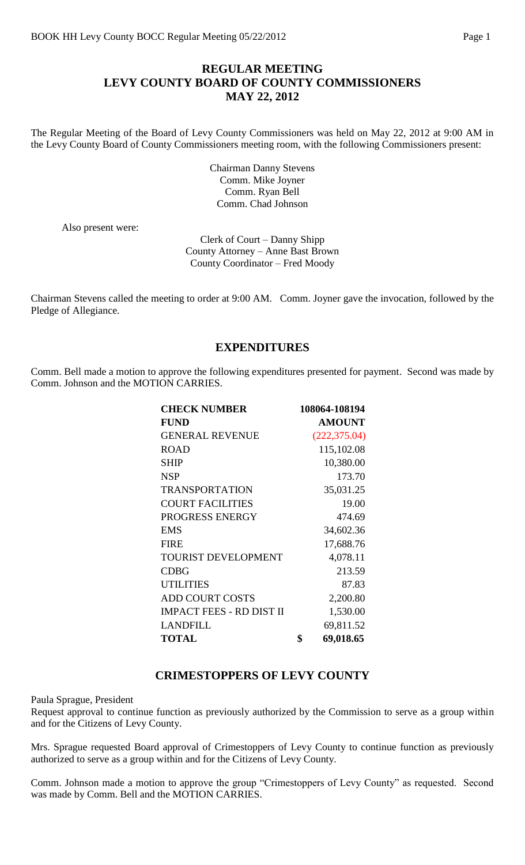### **REGULAR MEETING LEVY COUNTY BOARD OF COUNTY COMMISSIONERS MAY 22, 2012**

The Regular Meeting of the Board of Levy County Commissioners was held on May 22, 2012 at 9:00 AM in the Levy County Board of County Commissioners meeting room, with the following Commissioners present:

> Chairman Danny Stevens Comm. Mike Joyner Comm. Ryan Bell Comm. Chad Johnson

Also present were:

Clerk of Court – Danny Shipp County Attorney – Anne Bast Brown County Coordinator – Fred Moody

Chairman Stevens called the meeting to order at 9:00 AM. Comm. Joyner gave the invocation, followed by the Pledge of Allegiance.

#### **EXPENDITURES**

Comm. Bell made a motion to approve the following expenditures presented for payment. Second was made by Comm. Johnson and the MOTION CARRIES.

| <b>CHECK NUMBER</b>             | 108064-108194   |
|---------------------------------|-----------------|
| <b>FUND</b>                     | <b>AMOUNT</b>   |
| <b>GENERAL REVENUE</b>          | (222, 375.04)   |
| <b>ROAD</b>                     | 115,102.08      |
| <b>SHIP</b>                     | 10,380.00       |
| <b>NSP</b>                      | 173.70          |
| <b>TRANSPORTATION</b>           | 35,031.25       |
| <b>COURT FACILITIES</b>         | 19.00           |
| PROGRESS ENERGY                 | 474.69          |
| <b>EMS</b>                      | 34,602.36       |
| <b>FIRE</b>                     | 17,688.76       |
| <b>TOURIST DEVELOPMENT</b>      | 4,078.11        |
| <b>CDBG</b>                     | 213.59          |
| <b>UTILITIES</b>                | 87.83           |
| <b>ADD COURT COSTS</b>          | 2,200.80        |
| <b>IMPACT FEES - RD DIST II</b> | 1,530.00        |
| <b>LANDFILL</b>                 | 69,811.52       |
| <b>TOTAL</b>                    | \$<br>69,018.65 |

#### **CRIMESTOPPERS OF LEVY COUNTY**

Paula Sprague, President

Request approval to continue function as previously authorized by the Commission to serve as a group within and for the Citizens of Levy County.

Mrs. Sprague requested Board approval of Crimestoppers of Levy County to continue function as previously authorized to serve as a group within and for the Citizens of Levy County.

Comm. Johnson made a motion to approve the group "Crimestoppers of Levy County" as requested. Second was made by Comm. Bell and the MOTION CARRIES.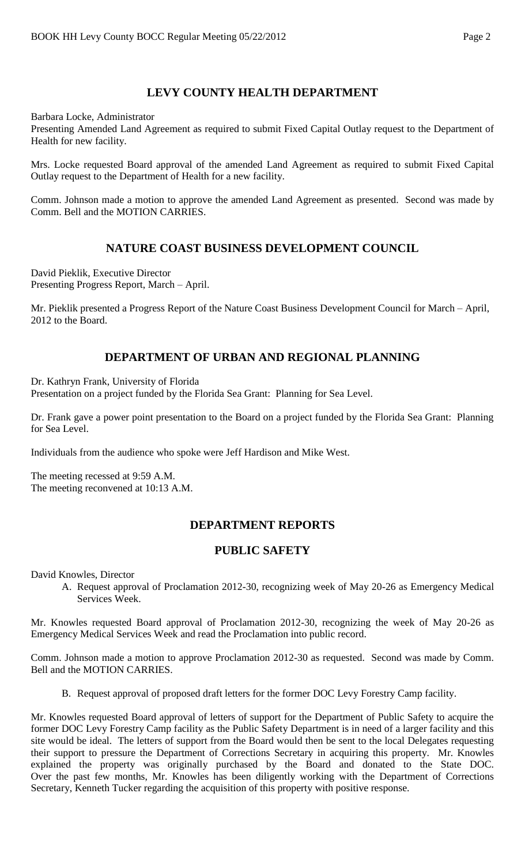# **LEVY COUNTY HEALTH DEPARTMENT**

Barbara Locke, Administrator

Presenting Amended Land Agreement as required to submit Fixed Capital Outlay request to the Department of Health for new facility.

Mrs. Locke requested Board approval of the amended Land Agreement as required to submit Fixed Capital Outlay request to the Department of Health for a new facility.

Comm. Johnson made a motion to approve the amended Land Agreement as presented. Second was made by Comm. Bell and the MOTION CARRIES.

## **NATURE COAST BUSINESS DEVELOPMENT COUNCIL**

David Pieklik, Executive Director Presenting Progress Report, March – April.

Mr. Pieklik presented a Progress Report of the Nature Coast Business Development Council for March – April, 2012 to the Board.

# **DEPARTMENT OF URBAN AND REGIONAL PLANNING**

Dr. Kathryn Frank, University of Florida

Presentation on a project funded by the Florida Sea Grant: Planning for Sea Level.

Dr. Frank gave a power point presentation to the Board on a project funded by the Florida Sea Grant: Planning for Sea Level.

Individuals from the audience who spoke were Jeff Hardison and Mike West.

The meeting recessed at 9:59 A.M. The meeting reconvened at 10:13 A.M.

# **DEPARTMENT REPORTS**

## **PUBLIC SAFETY**

David Knowles, Director

A. Request approval of Proclamation 2012-30, recognizing week of May 20-26 as Emergency Medical Services Week.

Mr. Knowles requested Board approval of Proclamation 2012-30, recognizing the week of May 20-26 as Emergency Medical Services Week and read the Proclamation into public record.

Comm. Johnson made a motion to approve Proclamation 2012-30 as requested. Second was made by Comm. Bell and the MOTION CARRIES.

B. Request approval of proposed draft letters for the former DOC Levy Forestry Camp facility.

Mr. Knowles requested Board approval of letters of support for the Department of Public Safety to acquire the former DOC Levy Forestry Camp facility as the Public Safety Department is in need of a larger facility and this site would be ideal. The letters of support from the Board would then be sent to the local Delegates requesting their support to pressure the Department of Corrections Secretary in acquiring this property. Mr. Knowles explained the property was originally purchased by the Board and donated to the State DOC. Over the past few months, Mr. Knowles has been diligently working with the Department of Corrections Secretary, Kenneth Tucker regarding the acquisition of this property with positive response.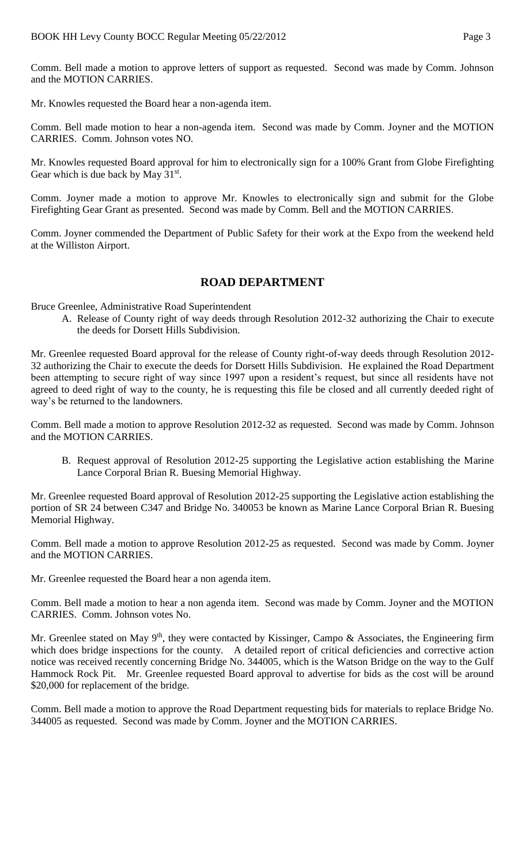Comm. Bell made a motion to approve letters of support as requested. Second was made by Comm. Johnson and the MOTION CARRIES.

Mr. Knowles requested the Board hear a non-agenda item.

Comm. Bell made motion to hear a non-agenda item. Second was made by Comm. Joyner and the MOTION CARRIES. Comm. Johnson votes NO.

Mr. Knowles requested Board approval for him to electronically sign for a 100% Grant from Globe Firefighting Gear which is due back by May  $31<sup>st</sup>$ .

Comm. Joyner made a motion to approve Mr. Knowles to electronically sign and submit for the Globe Firefighting Gear Grant as presented. Second was made by Comm. Bell and the MOTION CARRIES.

Comm. Joyner commended the Department of Public Safety for their work at the Expo from the weekend held at the Williston Airport.

#### **ROAD DEPARTMENT**

Bruce Greenlee, Administrative Road Superintendent

A. Release of County right of way deeds through Resolution 2012-32 authorizing the Chair to execute the deeds for Dorsett Hills Subdivision.

Mr. Greenlee requested Board approval for the release of County right-of-way deeds through Resolution 2012- 32 authorizing the Chair to execute the deeds for Dorsett Hills Subdivision. He explained the Road Department been attempting to secure right of way since 1997 upon a resident's request, but since all residents have not agreed to deed right of way to the county, he is requesting this file be closed and all currently deeded right of way's be returned to the landowners.

Comm. Bell made a motion to approve Resolution 2012-32 as requested. Second was made by Comm. Johnson and the MOTION CARRIES.

B. Request approval of Resolution 2012-25 supporting the Legislative action establishing the Marine Lance Corporal Brian R. Buesing Memorial Highway.

Mr. Greenlee requested Board approval of Resolution 2012-25 supporting the Legislative action establishing the portion of SR 24 between C347 and Bridge No. 340053 be known as Marine Lance Corporal Brian R. Buesing Memorial Highway.

Comm. Bell made a motion to approve Resolution 2012-25 as requested. Second was made by Comm. Joyner and the MOTION CARRIES.

Mr. Greenlee requested the Board hear a non agenda item.

Comm. Bell made a motion to hear a non agenda item. Second was made by Comm. Joyner and the MOTION CARRIES. Comm. Johnson votes No.

Mr. Greenlee stated on May 9<sup>th</sup>, they were contacted by Kissinger, Campo & Associates, the Engineering firm which does bridge inspections for the county. A detailed report of critical deficiencies and corrective action notice was received recently concerning Bridge No. 344005, which is the Watson Bridge on the way to the Gulf Hammock Rock Pit. Mr. Greenlee requested Board approval to advertise for bids as the cost will be around \$20,000 for replacement of the bridge.

Comm. Bell made a motion to approve the Road Department requesting bids for materials to replace Bridge No. 344005 as requested. Second was made by Comm. Joyner and the MOTION CARRIES.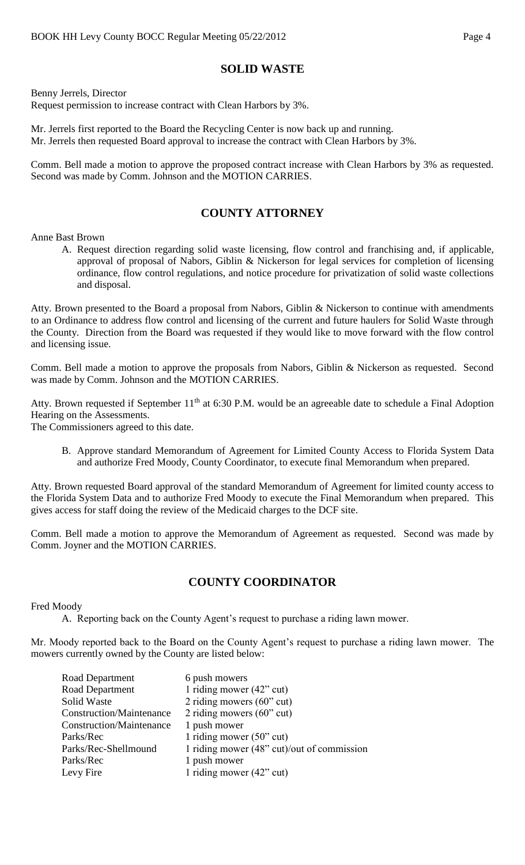## **SOLID WASTE**

Benny Jerrels, Director Request permission to increase contract with Clean Harbors by 3%.

Mr. Jerrels first reported to the Board the Recycling Center is now back up and running. Mr. Jerrels then requested Board approval to increase the contract with Clean Harbors by 3%.

Comm. Bell made a motion to approve the proposed contract increase with Clean Harbors by 3% as requested. Second was made by Comm. Johnson and the MOTION CARRIES.

# **COUNTY ATTORNEY**

Anne Bast Brown

A. Request direction regarding solid waste licensing, flow control and franchising and, if applicable, approval of proposal of Nabors, Giblin & Nickerson for legal services for completion of licensing ordinance, flow control regulations, and notice procedure for privatization of solid waste collections and disposal.

Atty. Brown presented to the Board a proposal from Nabors, Giblin & Nickerson to continue with amendments to an Ordinance to address flow control and licensing of the current and future haulers for Solid Waste through the County. Direction from the Board was requested if they would like to move forward with the flow control and licensing issue.

Comm. Bell made a motion to approve the proposals from Nabors, Giblin & Nickerson as requested. Second was made by Comm. Johnson and the MOTION CARRIES.

Atty. Brown requested if September 11<sup>th</sup> at 6:30 P.M. would be an agreeable date to schedule a Final Adoption Hearing on the Assessments.

The Commissioners agreed to this date.

B. Approve standard Memorandum of Agreement for Limited County Access to Florida System Data and authorize Fred Moody, County Coordinator, to execute final Memorandum when prepared.

Atty. Brown requested Board approval of the standard Memorandum of Agreement for limited county access to the Florida System Data and to authorize Fred Moody to execute the Final Memorandum when prepared. This gives access for staff doing the review of the Medicaid charges to the DCF site.

Comm. Bell made a motion to approve the Memorandum of Agreement as requested. Second was made by Comm. Joyner and the MOTION CARRIES.

## **COUNTY COORDINATOR**

Fred Moody

A. Reporting back on the County Agent's request to purchase a riding lawn mower.

Mr. Moody reported back to the Board on the County Agent's request to purchase a riding lawn mower. The mowers currently owned by the County are listed below:

| Road Department                 | 6 push mowers                              |
|---------------------------------|--------------------------------------------|
| Road Department                 | 1 riding mower $(42$ " cut)                |
| Solid Waste                     | 2 riding mowers $(60"$ cut)                |
| <b>Construction/Maintenance</b> | 2 riding mowers $(60"$ cut)                |
| <b>Construction/Maintenance</b> | 1 push mower                               |
| Parks/Rec                       | 1 riding mower $(50$ " cut)                |
| Parks/Rec-Shellmound            | 1 riding mower (48" cut)/out of commission |
| Parks/Rec                       | 1 push mower                               |
| Levy Fire                       | 1 riding mower $(42^{\circ}$ cut)          |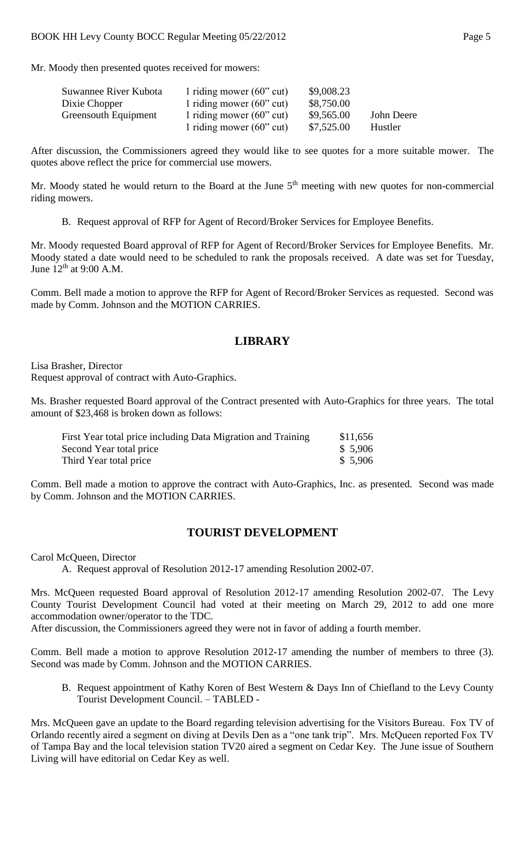Mr. Moody then presented quotes received for mowers:

| Suwannee River Kubota       | 1 riding mower $(60"$ cut)        | \$9,008.23 |            |
|-----------------------------|-----------------------------------|------------|------------|
| Dixie Chopper               | 1 riding mower $(60^{\circ}$ cut) | \$8,750.00 |            |
| <b>Greensouth Equipment</b> | 1 riding mower $(60^{\circ}$ cut) | \$9,565.00 | John Deere |
|                             | 1 riding mower $(60"$ cut)        | \$7,525.00 | Hustler    |

After discussion, the Commissioners agreed they would like to see quotes for a more suitable mower. The quotes above reflect the price for commercial use mowers.

Mr. Moody stated he would return to the Board at the June  $5<sup>th</sup>$  meeting with new quotes for non-commercial riding mowers.

B. Request approval of RFP for Agent of Record/Broker Services for Employee Benefits.

Mr. Moody requested Board approval of RFP for Agent of Record/Broker Services for Employee Benefits. Mr. Moody stated a date would need to be scheduled to rank the proposals received. A date was set for Tuesday, June  $12<sup>th</sup>$  at 9:00 A.M.

Comm. Bell made a motion to approve the RFP for Agent of Record/Broker Services as requested. Second was made by Comm. Johnson and the MOTION CARRIES.

### **LIBRARY**

Lisa Brasher, Director Request approval of contract with Auto-Graphics.

Ms. Brasher requested Board approval of the Contract presented with Auto-Graphics for three years. The total amount of \$23,468 is broken down as follows:

| First Year total price including Data Migration and Training | \$11,656 |
|--------------------------------------------------------------|----------|
| Second Year total price                                      | \$5,906  |
| Third Year total price                                       | \$5,906  |

Comm. Bell made a motion to approve the contract with Auto-Graphics, Inc. as presented. Second was made by Comm. Johnson and the MOTION CARRIES.

#### **TOURIST DEVELOPMENT**

Carol McQueen, Director

A. Request approval of Resolution 2012-17 amending Resolution 2002-07.

Mrs. McQueen requested Board approval of Resolution 2012-17 amending Resolution 2002-07. The Levy County Tourist Development Council had voted at their meeting on March 29, 2012 to add one more accommodation owner/operator to the TDC.

After discussion, the Commissioners agreed they were not in favor of adding a fourth member.

Comm. Bell made a motion to approve Resolution 2012-17 amending the number of members to three (3). Second was made by Comm. Johnson and the MOTION CARRIES.

B. Request appointment of Kathy Koren of Best Western & Days Inn of Chiefland to the Levy County Tourist Development Council. – TABLED -

Mrs. McQueen gave an update to the Board regarding television advertising for the Visitors Bureau. Fox TV of Orlando recently aired a segment on diving at Devils Den as a "one tank trip". Mrs. McQueen reported Fox TV of Tampa Bay and the local television station TV20 aired a segment on Cedar Key. The June issue of Southern Living will have editorial on Cedar Key as well.